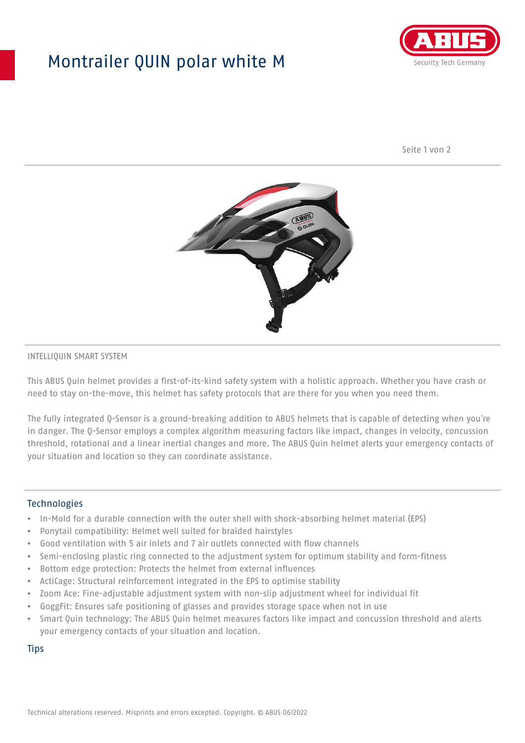## Montrailer QUIN polar white M



Seite 1 von 2



## INTELLIQUIN SMART SYSTEM

This ABUS Quin helmet provides a first-of-its-kind safety system with a holistic approach. Whether you have crash or need to stay on-the-move, this helmet has safety protocols that are there for you when you need them.

The fully integrated Q-Sensor is a ground-breaking addition to ABUS helmets that is capable of detecting when you're in danger. The Q-Sensor employs a complex algorithm measuring factors like impact, changes in velocity, concussion threshold, rotational and a linear inertial changes and more. The ABUS Quin helmet alerts your emergency contacts of your situation and location so they can coordinate assistance.

## **Technologies**

- In-Mold for a durable connection with the outer shell with shock-absorbing helmet material (EPS)
- Ponytail compatibility: Helmet well suited for braided hairstyles
- Good ventilation with 5 air inlets and 7 air outlets connected with flow channels
- Semi-enclosing plastic ring connected to the adjustment system for optimum stability and form-fitness
- Bottom edge protection: Protects the helmet from external influences
- ActiCage: Structural reinforcement integrated in the EPS to optimise stability
- Zoom Ace: Fine-adjustable adjustment system with non-slip adjustment wheel for individual fit
- GoggFit: Ensures safe positioning of glasses and provides storage space when not in use
- Smart Quin technology: The ABUS Quin helmet measures factors like impact and concussion threshold and alerts your emergency contacts of your situation and location.

**Tips**